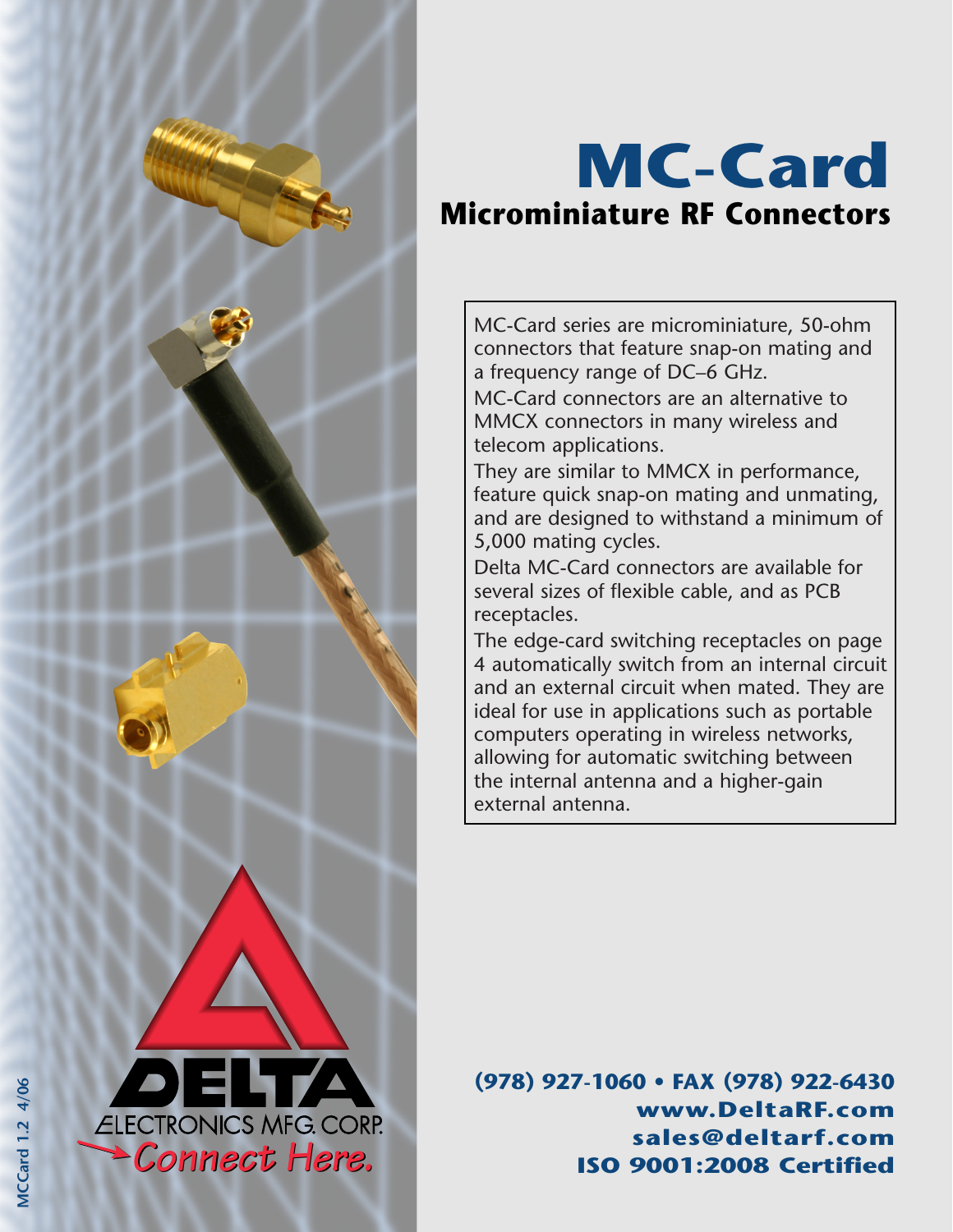<span id="page-0-0"></span>

# **MC-Card Microminiature RF Connectors**

MC-Card series are microminiature, 50-ohm connectors that feature snap-on mating and a frequency range of DC–6 GHz.

MC-Card connectors are an alternative to MMCX connectors in many wireless and telecom applications.

They are similar to MMCX in performance, feature quick snap-on mating and unmating, and are designed to withstand a minimum of 5,000 mating cycles.

Delta MC-Card connectors are available for several sizes of flexible cable, and as PCB receptacles.

The edge-card switching receptacles on page 4 automatically switch from an internal circuit and an external circuit when mated. They are ideal for use in applications such as portable computers operating in wireless networks, allowing for automatic switching between the internal antenna and a higher-gain external antenna.

**(978) 927-1060 • FAX (978) 922-6430 www.DeltaRF.com sales@deltarf.com ISO 9001:2008 Certified**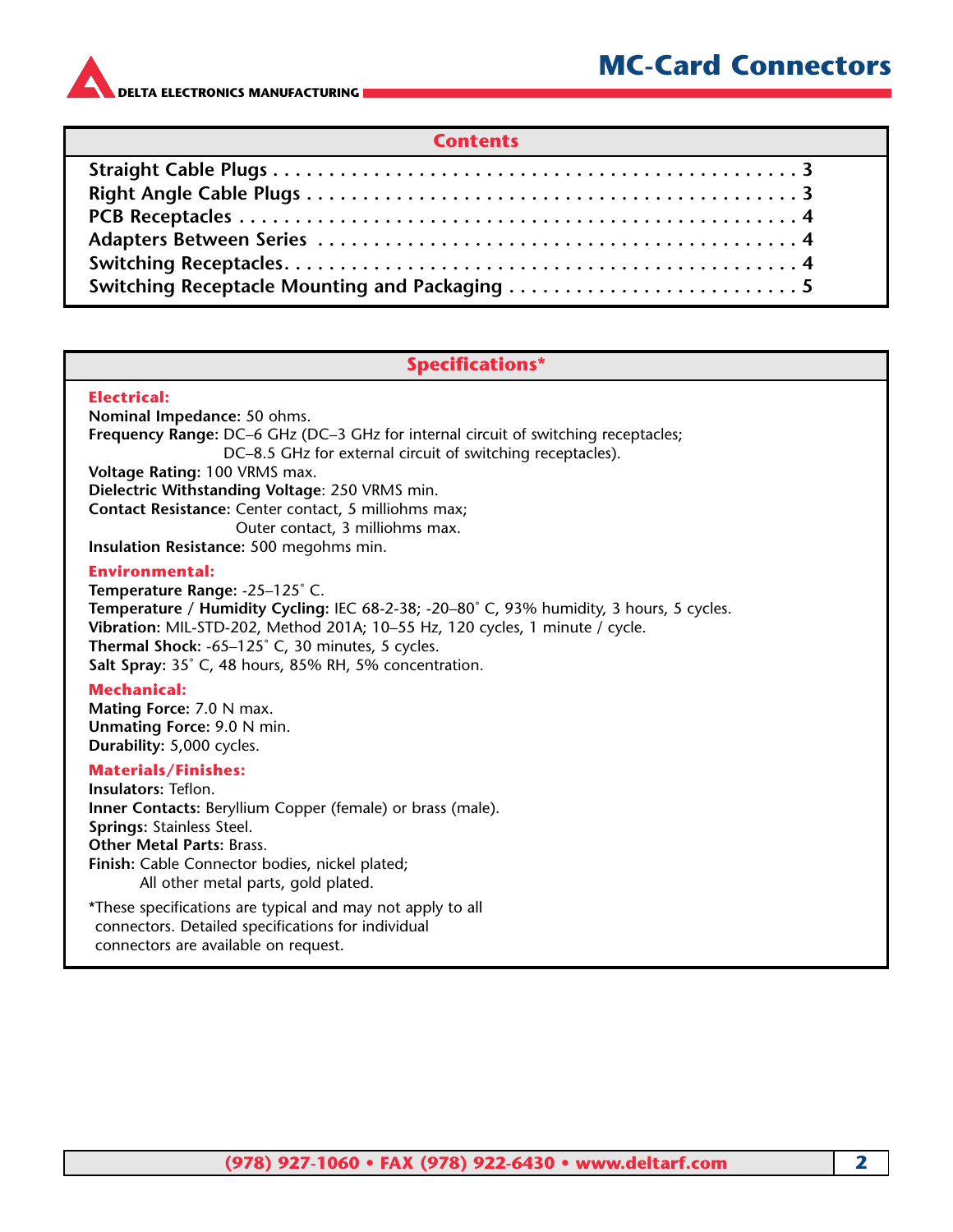

# **Contents**

## **Specifications\***

#### **Electrical:**

**Nominal Impedance:** 50 ohms. **Frequency Range:** DC–6 GHz (DC–3 GHz for internal circuit of switching receptacles; DC–8.5 GHz for external circuit of switching receptacles). **Voltage Rating:** 100 VRMS max. **Dielectric Withstanding Voltage**: 250 VRMS min. **Contact Resistance:** Center contact, 5 milliohms max; Outer contact, 3 milliohms max. **Insulation Resistance:** 500 megohms min.

#### **Environmental:**

**Temperature Range:** -25–125˚ C. **Temperature / Humidity Cycling:** IEC 68-2-38; -20–80˚ C, 93% humidity, 3 hours, 5 cycles. **Vibration:** MIL-STD-202, Method 201A; 10–55 Hz, 120 cycles, 1 minute / cycle. **Thermal Shock:** -65–125˚ C, 30 minutes, 5 cycles. **Salt Spray:** 35˚ C, 48 hours, 85% RH, 5% concentration.

#### **Mechanical:**

**Mating Force:** 7.0 N max. **Unmating Force:** 9.0 N min. **Durability:** 5,000 cycles.

### **Materials/Finishes:**

**Insulators:** Teflon. **Inner Contacts:** Beryllium Copper (female) or brass (male). **Springs:** Stainless Steel. **Other Metal Parts:** Brass. **Finish:** Cable Connector bodies, nickel plated; All other metal parts, gold plated.

\*These specifications are typical and may not apply to all connectors. Detailed specifications for individual connectors are available on request.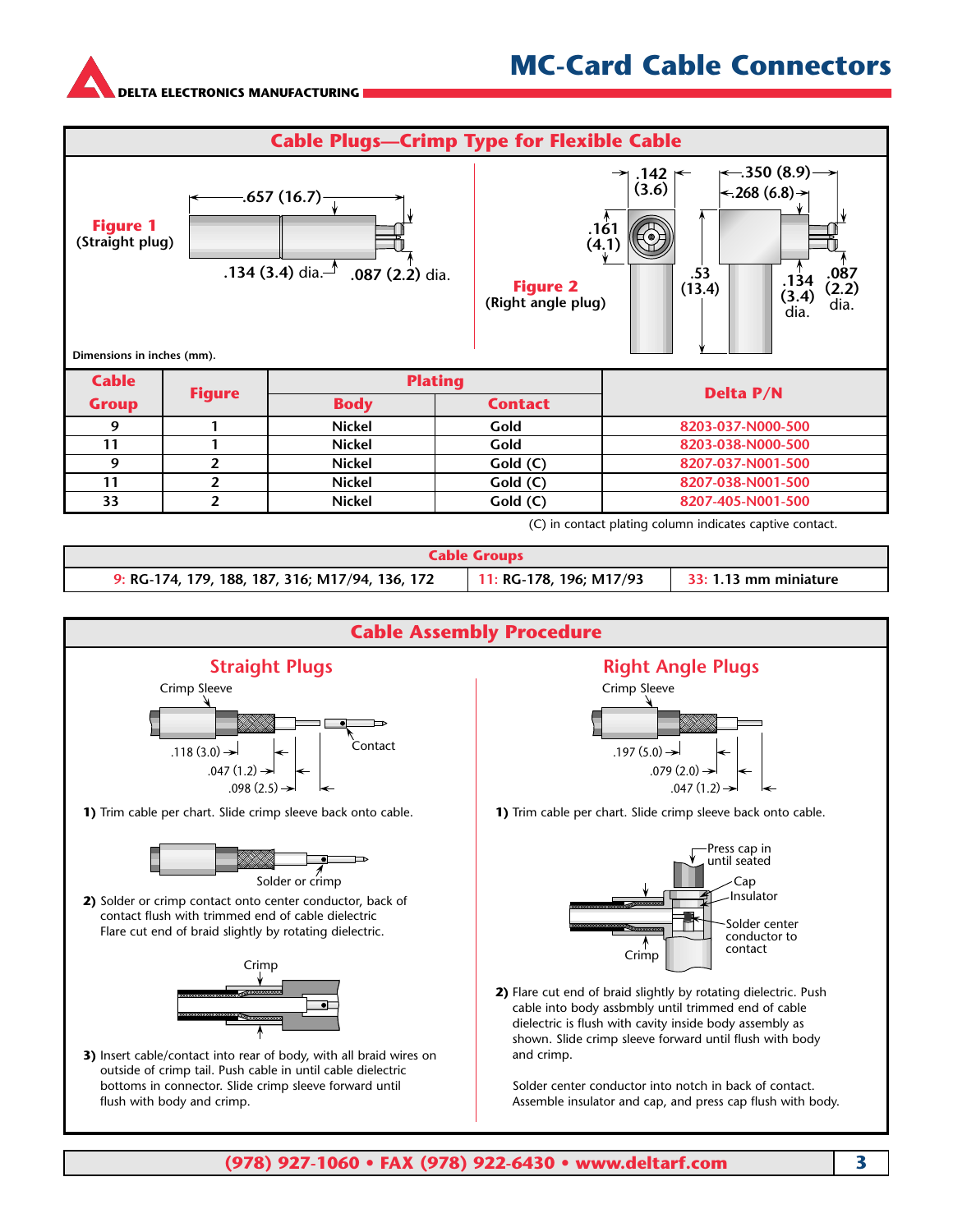# **MC-Card Cable Connectors**

**[DE](#page-0-0)LTA ELECTRONICS MANUFACTURING**



| <b>Cable Groups</b>                             |                         |                       |  |
|-------------------------------------------------|-------------------------|-----------------------|--|
| 9: RG-174, 179, 188, 187, 316; M17/94, 136, 172 | 11: RG-178, 196; M17/93 | 33: 1.13 mm miniature |  |



**(978) 927-1060 • FAX (978) [922-6430 • www.deltarf.com](http://www.deltarf.com) 3**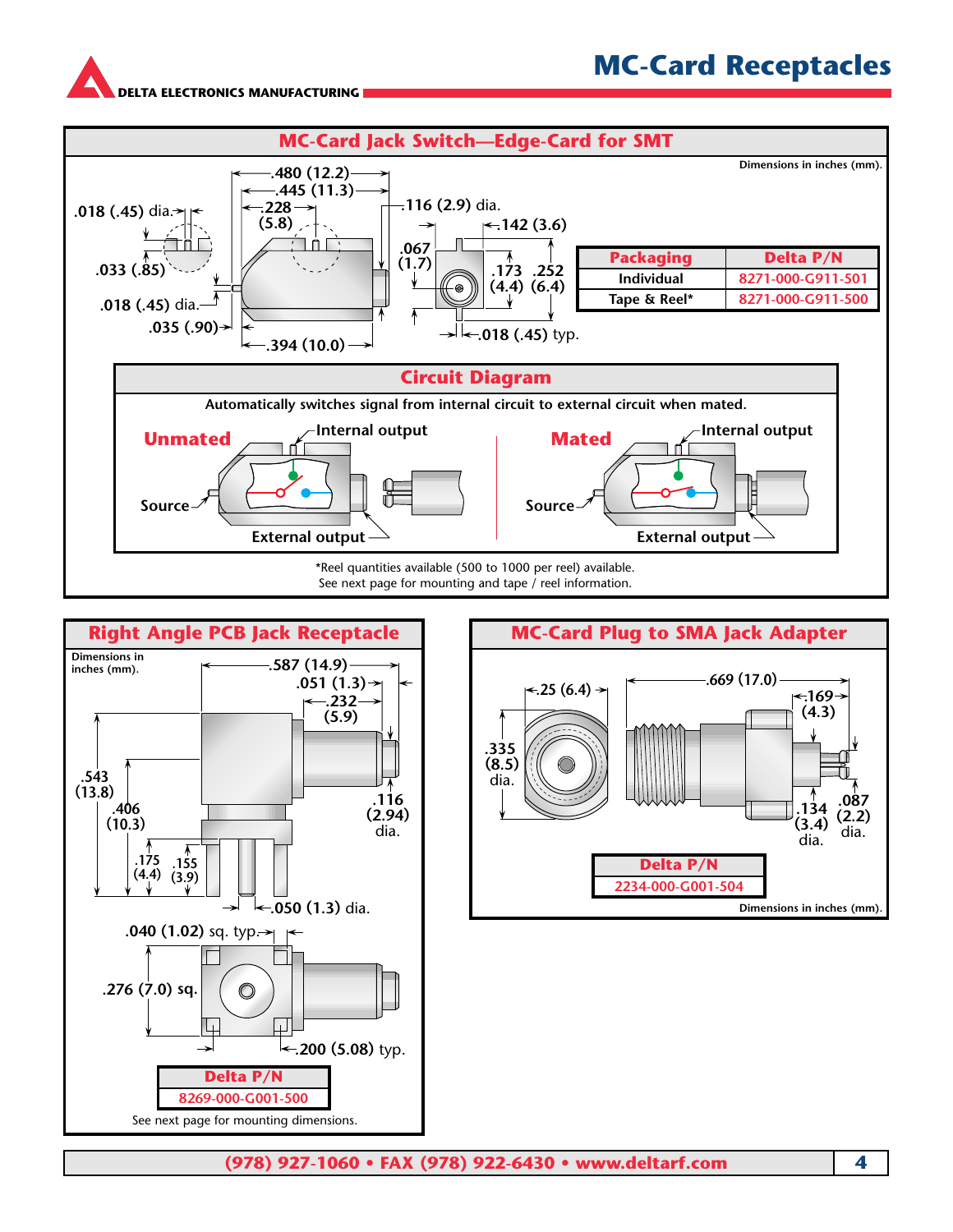**[DE](#page-0-0)LTA ELECTRONICS MANUFACTURING**